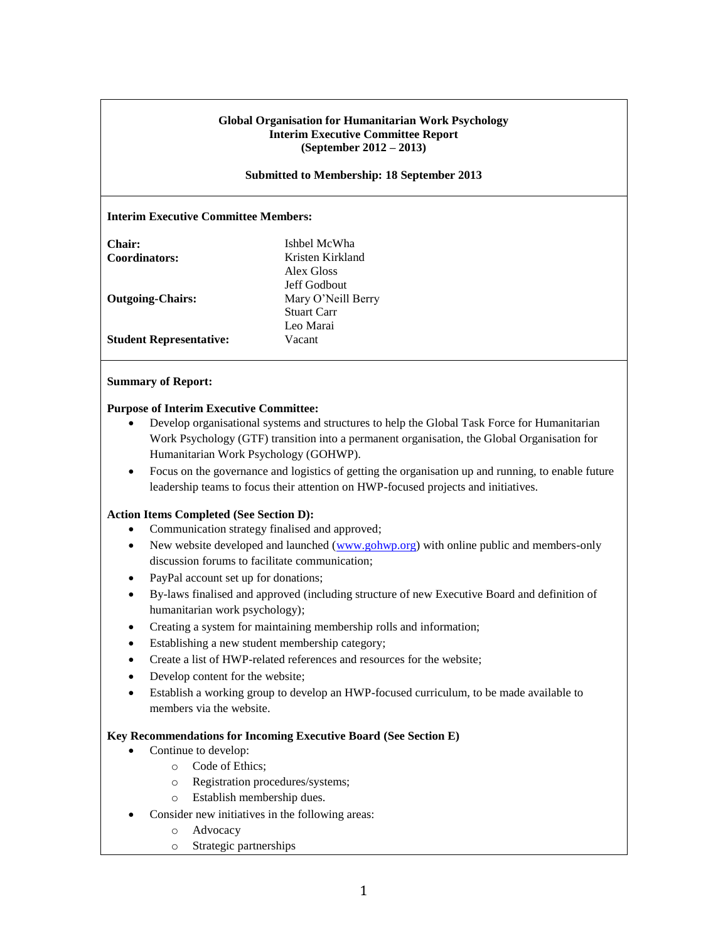## **Global Organisation for Humanitarian Work Psychology Interim Executive Committee Report (September 2012 – 2013)**

### **Submitted to Membership: 18 September 2013**

## **Interim Executive Committee Members:**

| Chair:                         | Ishbel McWha       |
|--------------------------------|--------------------|
| Coordinators:                  | Kristen Kirkland   |
|                                | Alex Gloss         |
|                                | Jeff Godbout       |
| <b>Outgoing-Chairs:</b>        | Mary O'Neill Berry |
|                                | <b>Stuart Carr</b> |
|                                | Leo Marai          |
| <b>Student Representative:</b> | Vacant             |

### **Summary of Report:**

## **Purpose of Interim Executive Committee:**

- Develop organisational systems and structures to help the Global Task Force for Humanitarian Work Psychology (GTF) transition into a permanent organisation, the Global Organisation for Humanitarian Work Psychology (GOHWP).
- Focus on the governance and logistics of getting the organisation up and running, to enable future leadership teams to focus their attention on HWP-focused projects and initiatives.

### **Action Items Completed (See Section D):**

- Communication strategy finalised and approved;
- New website developed and launched [\(www.gohwp.org\)](http://www.gohwp.org/) with online public and members-only discussion forums to facilitate communication;
- PayPal account set up for donations;
- By-laws finalised and approved (including structure of new Executive Board and definition of humanitarian work psychology);
- Creating a system for maintaining membership rolls and information;
- Establishing a new student membership category;
- Create a list of HWP-related references and resources for the website;
- Develop content for the website;
- Establish a working group to develop an HWP-focused curriculum, to be made available to members via the website.

### **Key Recommendations for Incoming Executive Board (See Section E)**

- Continue to develop:
	- o Code of Ethics;
	- o Registration procedures/systems;
	- o Establish membership dues.
- Consider new initiatives in the following areas:
	- o Advocacy
	- o Strategic partnerships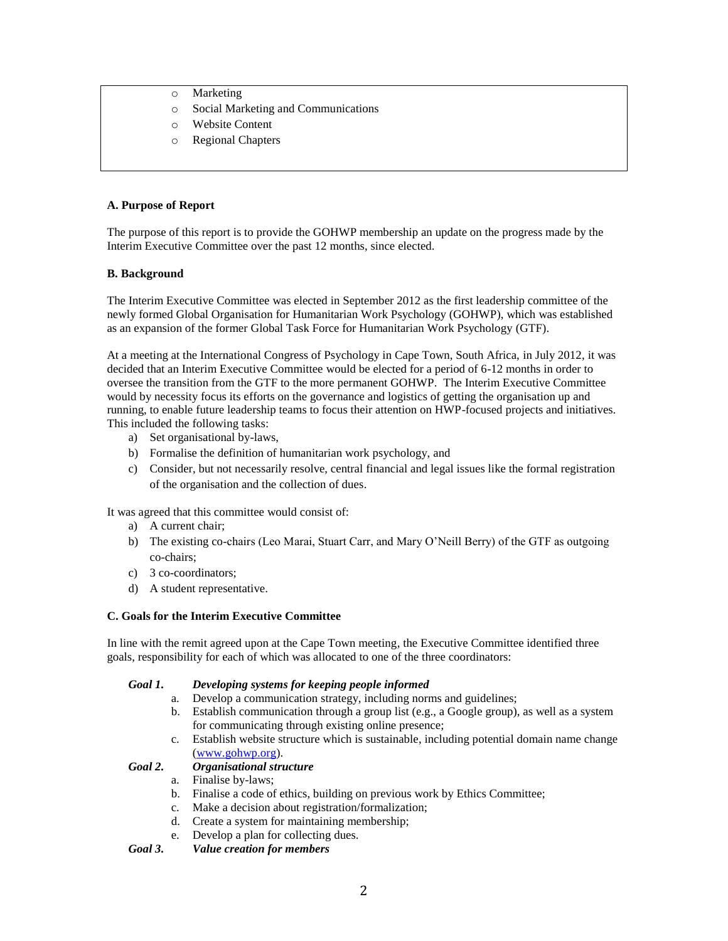- o Marketing
- o Social Marketing and Communications
- o Website Content
- o Regional Chapters

# **A. Purpose of Report**

The purpose of this report is to provide the GOHWP membership an update on the progress made by the Interim Executive Committee over the past 12 months, since elected.

## **B. Background**

The Interim Executive Committee was elected in September 2012 as the first leadership committee of the newly formed Global Organisation for Humanitarian Work Psychology (GOHWP), which was established as an expansion of the former Global Task Force for Humanitarian Work Psychology (GTF).

At a meeting at the International Congress of Psychology in Cape Town, South Africa, in July 2012, it was decided that an Interim Executive Committee would be elected for a period of 6-12 months in order to oversee the transition from the GTF to the more permanent GOHWP. The Interim Executive Committee would by necessity focus its efforts on the governance and logistics of getting the organisation up and running, to enable future leadership teams to focus their attention on HWP-focused projects and initiatives. This included the following tasks:

- a) Set organisational by-laws,
- b) Formalise the definition of humanitarian work psychology, and
- c) Consider, but not necessarily resolve, central financial and legal issues like the formal registration of the organisation and the collection of dues.

It was agreed that this committee would consist of:

- a) A current chair;
- b) The existing co-chairs (Leo Marai, Stuart Carr, and Mary O'Neill Berry) of the GTF as outgoing co-chairs;
- c) 3 co-coordinators;
- d) A student representative.

# **C. Goals for the Interim Executive Committee**

In line with the remit agreed upon at the Cape Town meeting, the Executive Committee identified three goals, responsibility for each of which was allocated to one of the three coordinators:

### *Goal 1. Developing systems for keeping people informed*

- a. Develop a communication strategy, including norms and guidelines;
- b. Establish communication through a group list (e.g., a Google group), as well as a system for communicating through existing online presence;
- c. Establish website structure which is sustainable, including potential domain name change [\(www.gohwp.org\)](http://www.gohwp.org/).

# *Goal 2. Organisational structure*

- a. Finalise by-laws;
- b. Finalise a code of ethics, building on previous work by Ethics Committee;
- c. Make a decision about registration/formalization;
- d. Create a system for maintaining membership;
- e. Develop a plan for collecting dues.

*Goal 3. Value creation for members*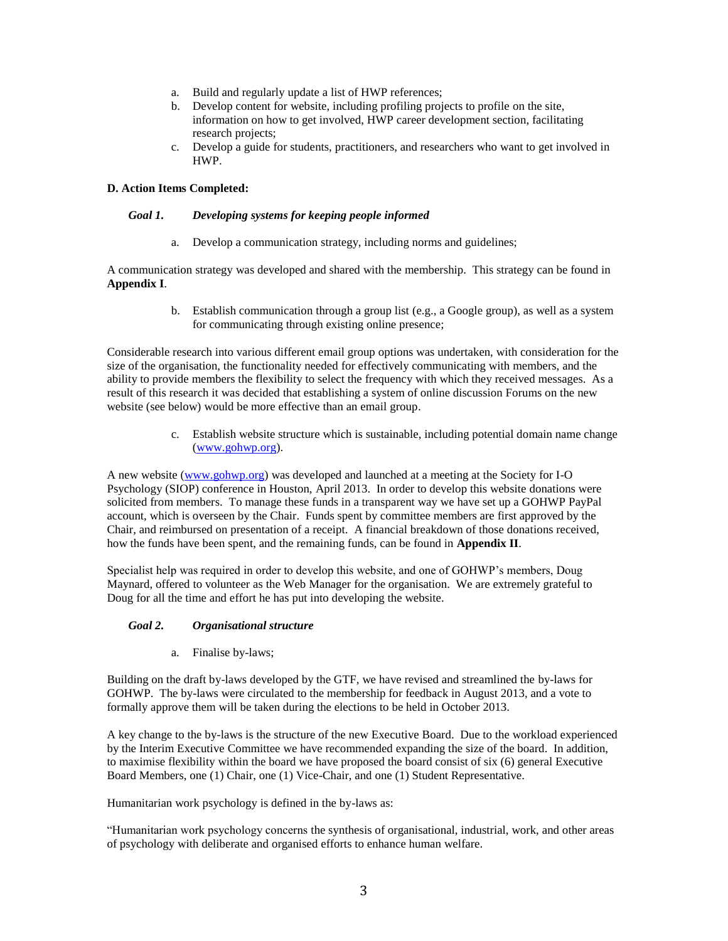- a. Build and regularly update a list of HWP references;
- b. Develop content for website, including profiling projects to profile on the site, information on how to get involved, HWP career development section, facilitating research projects;
- c. Develop a guide for students, practitioners, and researchers who want to get involved in HWP.

## **D. Action Items Completed:**

### *Goal 1. Developing systems for keeping people informed*

a. Develop a communication strategy, including norms and guidelines;

A communication strategy was developed and shared with the membership. This strategy can be found in **Appendix I**.

> b. Establish communication through a group list (e.g., a Google group), as well as a system for communicating through existing online presence;

Considerable research into various different email group options was undertaken, with consideration for the size of the organisation, the functionality needed for effectively communicating with members, and the ability to provide members the flexibility to select the frequency with which they received messages. As a result of this research it was decided that establishing a system of online discussion Forums on the new website (see below) would be more effective than an email group.

> c. Establish website structure which is sustainable, including potential domain name change [\(www.gohwp.org\)](http://www.gohwp.org/).

A new website [\(www.gohwp.org\)](http://www.gohwp.org/) was developed and launched at a meeting at the Society for I-O Psychology (SIOP) conference in Houston, April 2013. In order to develop this website donations were solicited from members. To manage these funds in a transparent way we have set up a GOHWP PayPal account, which is overseen by the Chair. Funds spent by committee members are first approved by the Chair, and reimbursed on presentation of a receipt. A financial breakdown of those donations received, how the funds have been spent, and the remaining funds, can be found in **Appendix II**.

Specialist help was required in order to develop this website, and one of GOHWP's members, Doug Maynard, offered to volunteer as the Web Manager for the organisation. We are extremely grateful to Doug for all the time and effort he has put into developing the website.

# *Goal 2. Organisational structure*

a. Finalise by-laws;

Building on the draft by-laws developed by the GTF, we have revised and streamlined the by-laws for GOHWP. The by-laws were circulated to the membership for feedback in August 2013, and a vote to formally approve them will be taken during the elections to be held in October 2013.

A key change to the by-laws is the structure of the new Executive Board. Due to the workload experienced by the Interim Executive Committee we have recommended expanding the size of the board. In addition, to maximise flexibility within the board we have proposed the board consist of six (6) general Executive Board Members, one (1) Chair, one (1) Vice-Chair, and one (1) Student Representative.

Humanitarian work psychology is defined in the by-laws as:

"Humanitarian work psychology concerns the synthesis of organisational, industrial, work, and other areas of psychology with deliberate and organised efforts to enhance human welfare.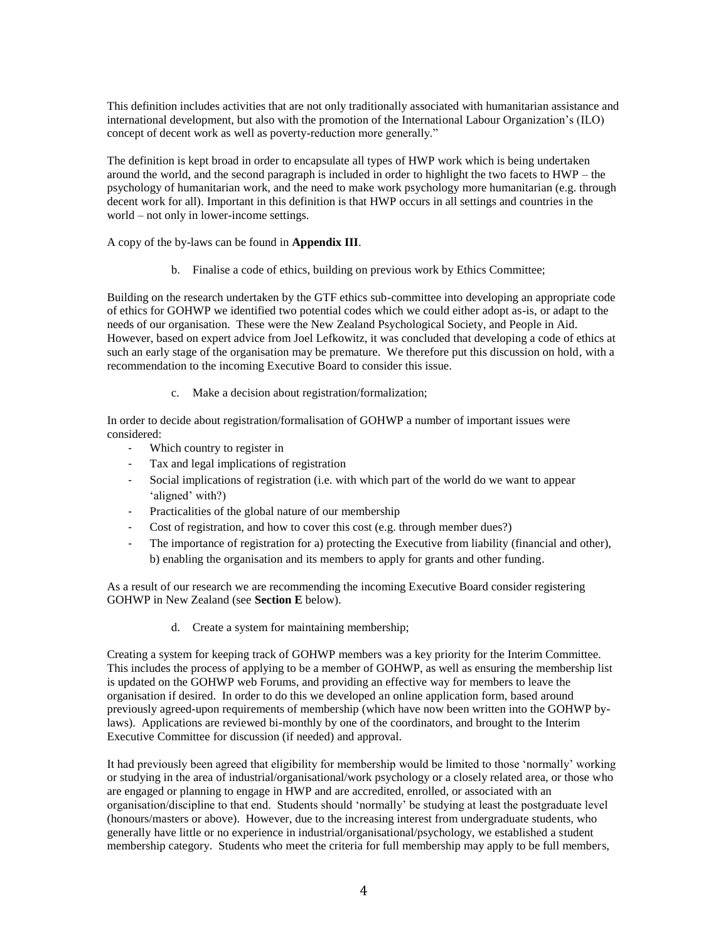This definition includes activities that are not only traditionally associated with humanitarian assistance and international development, but also with the promotion of the International Labour Organization's (ILO) concept of decent work as well as poverty-reduction more generally."

The definition is kept broad in order to encapsulate all types of HWP work which is being undertaken around the world, and the second paragraph is included in order to highlight the two facets to HWP – the psychology of humanitarian work, and the need to make work psychology more humanitarian (e.g. through decent work for all). Important in this definition is that HWP occurs in all settings and countries in the world – not only in lower-income settings.

A copy of the by-laws can be found in **Appendix III**.

b. Finalise a code of ethics, building on previous work by Ethics Committee;

Building on the research undertaken by the GTF ethics sub-committee into developing an appropriate code of ethics for GOHWP we identified two potential codes which we could either adopt as-is, or adapt to the needs of our organisation. These were the New Zealand Psychological Society, and People in Aid. However, based on expert advice from Joel Lefkowitz, it was concluded that developing a code of ethics at such an early stage of the organisation may be premature. We therefore put this discussion on hold, with a recommendation to the incoming Executive Board to consider this issue.

c. Make a decision about registration/formalization;

In order to decide about registration/formalisation of GOHWP a number of important issues were considered:

- Which country to register in
- Tax and legal implications of registration
- Social implications of registration (i.e. with which part of the world do we want to appear 'aligned' with?)
- Practicalities of the global nature of our membership
- Cost of registration, and how to cover this cost (e.g. through member dues?)
- The importance of registration for a) protecting the Executive from liability (financial and other), b) enabling the organisation and its members to apply for grants and other funding.

As a result of our research we are recommending the incoming Executive Board consider registering GOHWP in New Zealand (see **Section E** below).

d. Create a system for maintaining membership;

Creating a system for keeping track of GOHWP members was a key priority for the Interim Committee. This includes the process of applying to be a member of GOHWP, as well as ensuring the membership list is updated on the GOHWP web Forums, and providing an effective way for members to leave the organisation if desired. In order to do this we developed an online application form, based around previously agreed-upon requirements of membership (which have now been written into the GOHWP bylaws). Applications are reviewed bi-monthly by one of the coordinators, and brought to the Interim Executive Committee for discussion (if needed) and approval.

It had previously been agreed that eligibility for membership would be limited to those 'normally' working or studying in the area of industrial/organisational/work psychology or a closely related area, or those who are engaged or planning to engage in HWP and are accredited, enrolled, or associated with an organisation/discipline to that end. Students should 'normally' be studying at least the postgraduate level (honours/masters or above). However, due to the increasing interest from undergraduate students, who generally have little or no experience in industrial/organisational/psychology, we established a student membership category. Students who meet the criteria for full membership may apply to be full members,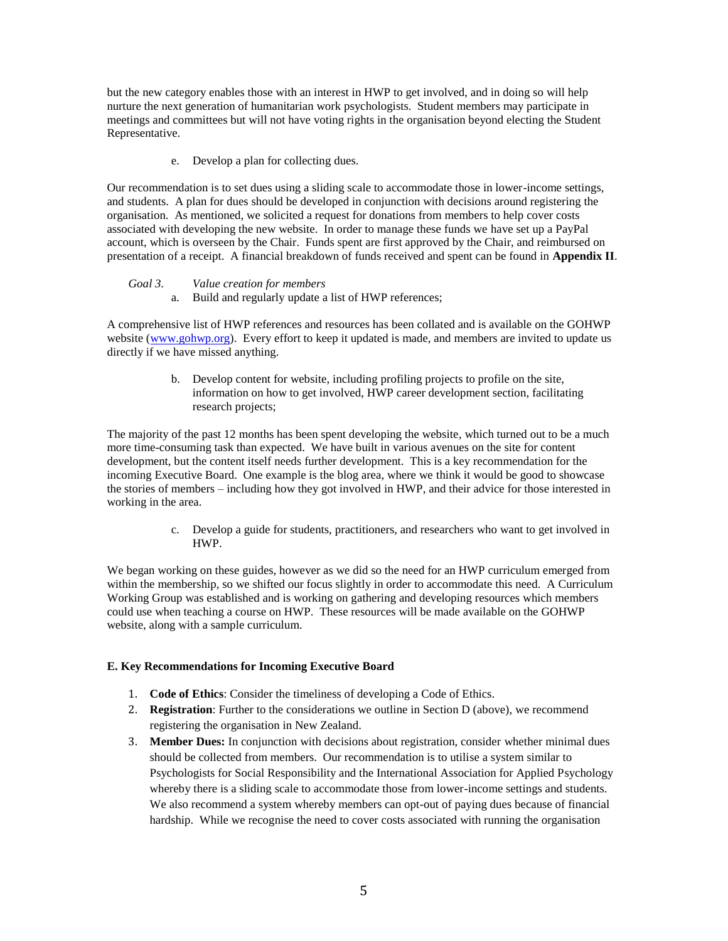but the new category enables those with an interest in HWP to get involved, and in doing so will help nurture the next generation of humanitarian work psychologists. Student members may participate in meetings and committees but will not have voting rights in the organisation beyond electing the Student Representative.

e. Develop a plan for collecting dues.

Our recommendation is to set dues using a sliding scale to accommodate those in lower-income settings, and students. A plan for dues should be developed in conjunction with decisions around registering the organisation. As mentioned, we solicited a request for donations from members to help cover costs associated with developing the new website. In order to manage these funds we have set up a PayPal account, which is overseen by the Chair. Funds spent are first approved by the Chair, and reimbursed on presentation of a receipt. A financial breakdown of funds received and spent can be found in **Appendix II**.

# *Goal 3. Value creation for members*

a. Build and regularly update a list of HWP references;

A comprehensive list of HWP references and resources has been collated and is available on the GOHWP website [\(www.gohwp.org\)](http://www.gohwp.org/). Every effort to keep it updated is made, and members are invited to update us directly if we have missed anything.

> b. Develop content for website, including profiling projects to profile on the site, information on how to get involved, HWP career development section, facilitating research projects;

The majority of the past 12 months has been spent developing the website, which turned out to be a much more time-consuming task than expected. We have built in various avenues on the site for content development, but the content itself needs further development. This is a key recommendation for the incoming Executive Board. One example is the blog area, where we think it would be good to showcase the stories of members – including how they got involved in HWP, and their advice for those interested in working in the area.

> c. Develop a guide for students, practitioners, and researchers who want to get involved in HWP.

We began working on these guides, however as we did so the need for an HWP curriculum emerged from within the membership, so we shifted our focus slightly in order to accommodate this need. A Curriculum Working Group was established and is working on gathering and developing resources which members could use when teaching a course on HWP. These resources will be made available on the GOHWP website, along with a sample curriculum.

# **E. Key Recommendations for Incoming Executive Board**

- 1. **Code of Ethics**: Consider the timeliness of developing a Code of Ethics.
- 2. **Registration**: Further to the considerations we outline in Section D (above), we recommend registering the organisation in New Zealand.
- 3. **Member Dues:** In conjunction with decisions about registration, consider whether minimal dues should be collected from members. Our recommendation is to utilise a system similar to Psychologists for Social Responsibility and the International Association for Applied Psychology whereby there is a sliding scale to accommodate those from lower-income settings and students. We also recommend a system whereby members can opt-out of paying dues because of financial hardship. While we recognise the need to cover costs associated with running the organisation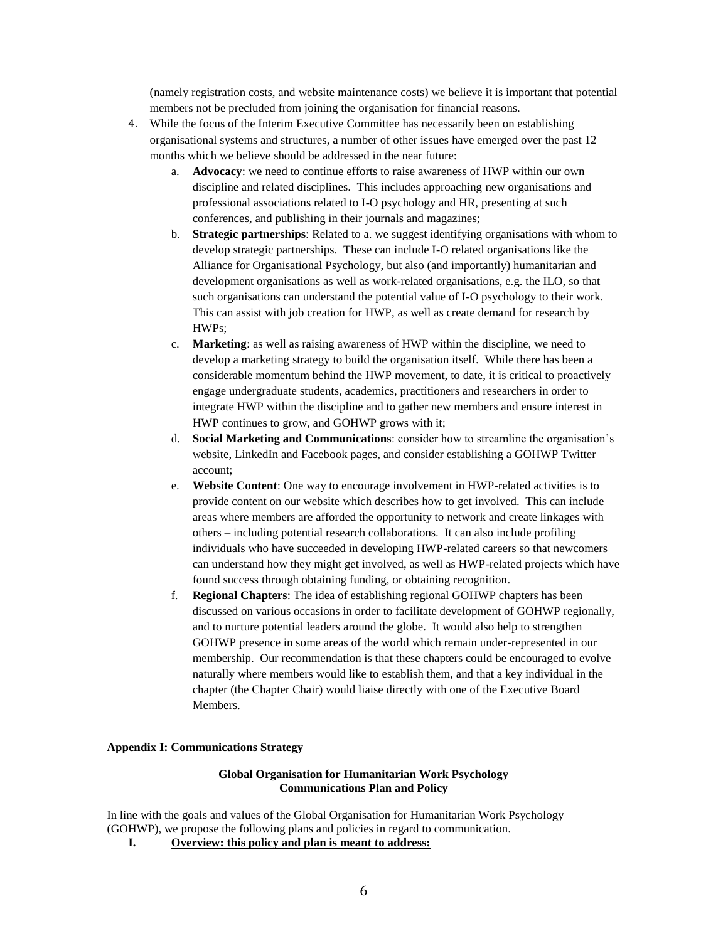(namely registration costs, and website maintenance costs) we believe it is important that potential members not be precluded from joining the organisation for financial reasons.

- 4. While the focus of the Interim Executive Committee has necessarily been on establishing organisational systems and structures, a number of other issues have emerged over the past 12 months which we believe should be addressed in the near future:
	- a. **Advocacy**: we need to continue efforts to raise awareness of HWP within our own discipline and related disciplines. This includes approaching new organisations and professional associations related to I-O psychology and HR, presenting at such conferences, and publishing in their journals and magazines;
	- b. **Strategic partnerships**: Related to a. we suggest identifying organisations with whom to develop strategic partnerships. These can include I-O related organisations like the Alliance for Organisational Psychology, but also (and importantly) humanitarian and development organisations as well as work-related organisations, e.g. the ILO, so that such organisations can understand the potential value of I-O psychology to their work. This can assist with job creation for HWP, as well as create demand for research by HWPs;
	- c. **Marketing**: as well as raising awareness of HWP within the discipline, we need to develop a marketing strategy to build the organisation itself. While there has been a considerable momentum behind the HWP movement, to date, it is critical to proactively engage undergraduate students, academics, practitioners and researchers in order to integrate HWP within the discipline and to gather new members and ensure interest in HWP continues to grow, and GOHWP grows with it;
	- d. **Social Marketing and Communications**: consider how to streamline the organisation's website, LinkedIn and Facebook pages, and consider establishing a GOHWP Twitter account;
	- e. **Website Content**: One way to encourage involvement in HWP-related activities is to provide content on our website which describes how to get involved. This can include areas where members are afforded the opportunity to network and create linkages with others – including potential research collaborations. It can also include profiling individuals who have succeeded in developing HWP-related careers so that newcomers can understand how they might get involved, as well as HWP-related projects which have found success through obtaining funding, or obtaining recognition.
	- f. **Regional Chapters**: The idea of establishing regional GOHWP chapters has been discussed on various occasions in order to facilitate development of GOHWP regionally, and to nurture potential leaders around the globe. It would also help to strengthen GOHWP presence in some areas of the world which remain under-represented in our membership. Our recommendation is that these chapters could be encouraged to evolve naturally where members would like to establish them, and that a key individual in the chapter (the Chapter Chair) would liaise directly with one of the Executive Board Members.

### **Appendix I: Communications Strategy**

## **Global Organisation for Humanitarian Work Psychology Communications Plan and Policy**

In line with the goals and values of the Global Organisation for Humanitarian Work Psychology (GOHWP), we propose the following plans and policies in regard to communication.

**I. Overview: this policy and plan is meant to address:**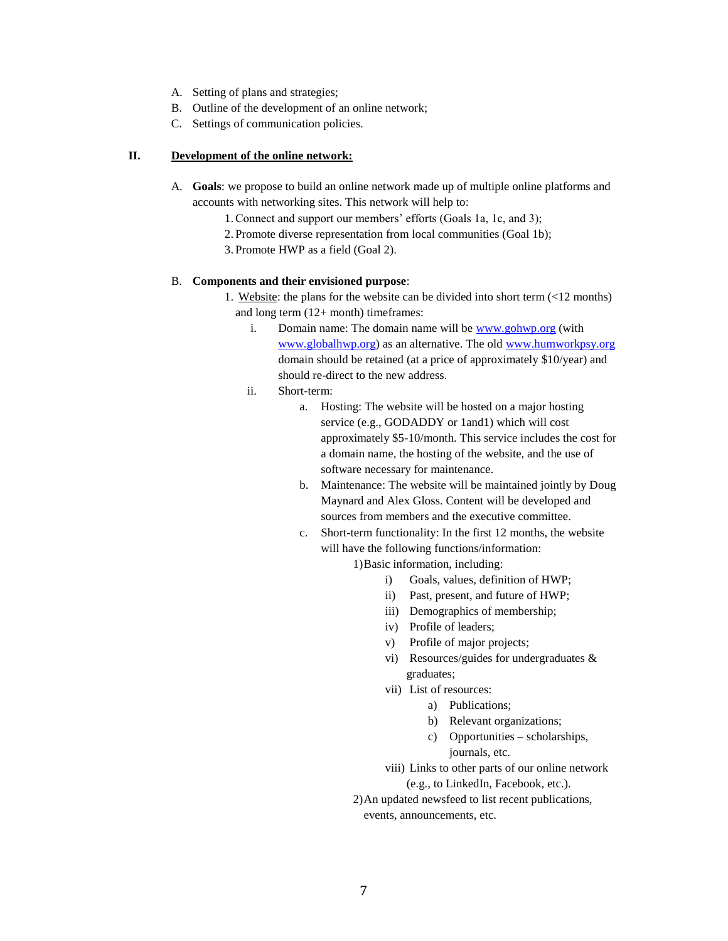- A. Setting of plans and strategies;
- B. Outline of the development of an online network;
- C. Settings of communication policies.

## **II. Development of the online network:**

- A. **Goals**: we propose to build an online network made up of multiple online platforms and accounts with networking sites. This network will help to:
	- 1.Connect and support our members' efforts (Goals 1a, 1c, and 3);
	- 2. Promote diverse representation from local communities (Goal 1b);
	- 3. Promote HWP as a field (Goal 2).

## B. **Components and their envisioned purpose**:

- 1. Website: the plans for the website can be divided into short term (<12 months) and long term (12+ month) timeframes:
	- i. Domain name: The domain name will be [www.gohwp.org](http://www.gohwp.org/) (with [www.globalhwp.org\)](http://www.globalhwp.org/) as an alternative. The old [www.humworkpsy.org](http://www.humworkpsy.org/) domain should be retained (at a price of approximately \$10/year) and should re-direct to the new address.
	- ii. Short-term:
		- a. Hosting: The website will be hosted on a major hosting service (e.g., GODADDY or 1and1) which will cost approximately \$5-10/month. This service includes the cost for a domain name, the hosting of the website, and the use of software necessary for maintenance.
		- b. Maintenance: The website will be maintained jointly by Doug Maynard and Alex Gloss. Content will be developed and sources from members and the executive committee.
		- c. Short-term functionality: In the first 12 months, the website will have the following functions/information:

1)Basic information, including:

- i) Goals, values, definition of HWP;
- ii) Past, present, and future of HWP;
- iii) Demographics of membership;
- iv) Profile of leaders;
- v) Profile of major projects;
- vi) Resources/guides for undergraduates & graduates;
- vii) List of resources:
	- a) Publications;
	- b) Relevant organizations;
	- c) Opportunities scholarships, journals, etc.
- viii) Links to other parts of our online network (e.g., to LinkedIn, Facebook, etc.).
- 2)An updated newsfeed to list recent publications, events, announcements, etc.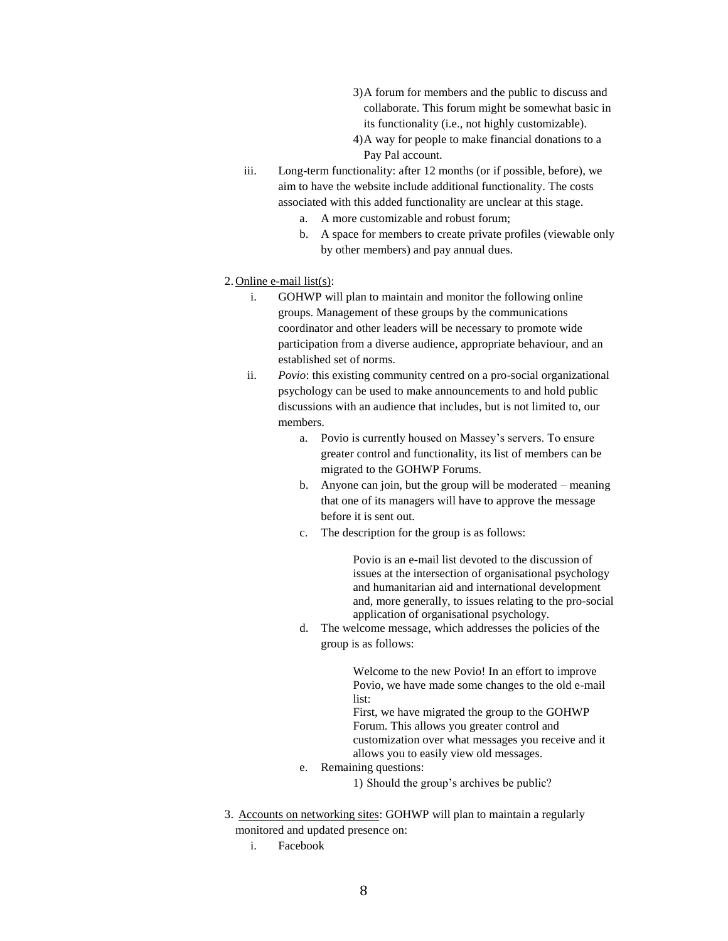- 3)A forum for members and the public to discuss and collaborate. This forum might be somewhat basic in its functionality (i.e., not highly customizable).
- 4)A way for people to make financial donations to a Pay Pal account.
- iii. Long-term functionality: after 12 months (or if possible, before), we aim to have the website include additional functionality. The costs associated with this added functionality are unclear at this stage.
	- a. A more customizable and robust forum;
	- b. A space for members to create private profiles (viewable only by other members) and pay annual dues.

## 2. Online e-mail list(s):

- i. GOHWP will plan to maintain and monitor the following online groups. Management of these groups by the communications coordinator and other leaders will be necessary to promote wide participation from a diverse audience, appropriate behaviour, and an established set of norms.
- ii. *Povio*: this existing community centred on a pro-social organizational psychology can be used to make announcements to and hold public discussions with an audience that includes, but is not limited to, our members.
	- a. Povio is currently housed on Massey's servers. To ensure greater control and functionality, its list of members can be migrated to the GOHWP Forums.
	- b. Anyone can join, but the group will be moderated meaning that one of its managers will have to approve the message before it is sent out.
	- c. The description for the group is as follows:

Povio is an e-mail list devoted to the discussion of issues at the intersection of organisational psychology and humanitarian aid and international development and, more generally, to issues relating to the pro-social application of organisational psychology.

d. The welcome message, which addresses the policies of the group is as follows:

> Welcome to the new Povio! In an effort to improve Povio, we have made some changes to the old e-mail list:

> First, we have migrated the group to the GOHWP Forum. This allows you greater control and customization over what messages you receive and it allows you to easily view old messages.

- e. Remaining questions:
	- 1) Should the group's archives be public?
- 3. Accounts on networking sites: GOHWP will plan to maintain a regularly monitored and updated presence on:
	- i. Facebook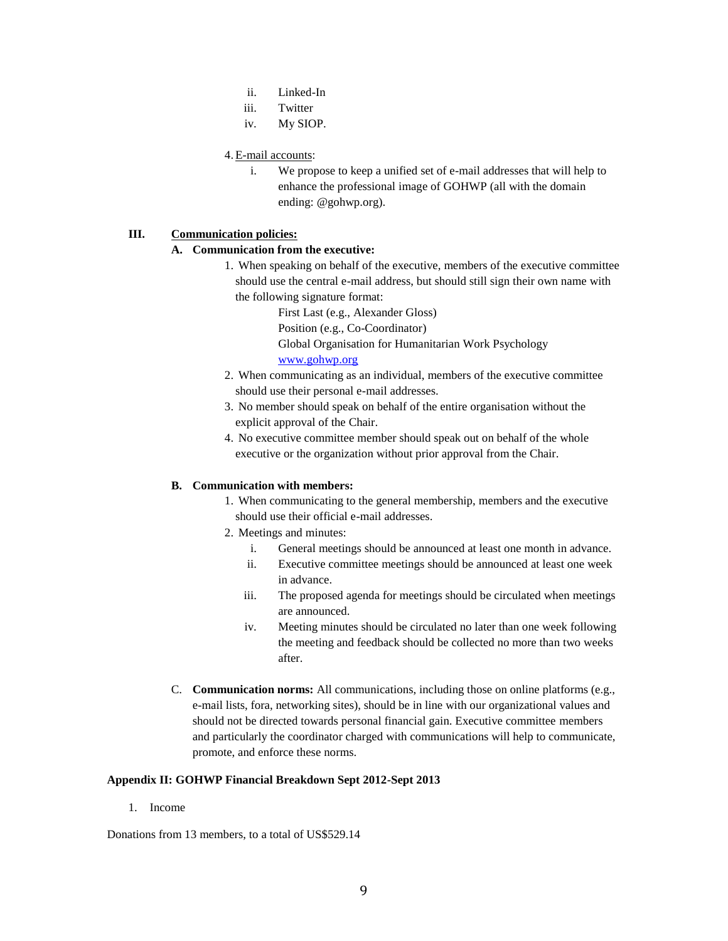- ii. Linked-In
- iii. Twitter
- iv. My SIOP.

# 4.E-mail accounts:

i. We propose to keep a unified set of e-mail addresses that will help to enhance the professional image of GOHWP (all with the domain ending: @gohwp.org).

# **III. Communication policies:**

# **A. Communication from the executive:**

- 1. When speaking on behalf of the executive, members of the executive committee should use the central e-mail address, but should still sign their own name with the following signature format:
	- First Last (e.g., Alexander Gloss) Position (e.g., Co-Coordinator) Global Organisation for Humanitarian Work Psychology [www.gohwp.org](http://www.gohwp.org/)
- 2. When communicating as an individual, members of the executive committee should use their personal e-mail addresses.
- 3. No member should speak on behalf of the entire organisation without the explicit approval of the Chair.
- 4. No executive committee member should speak out on behalf of the whole executive or the organization without prior approval from the Chair.

# **B. Communication with members:**

- 1. When communicating to the general membership, members and the executive should use their official e-mail addresses.
- 2. Meetings and minutes:
	- i. General meetings should be announced at least one month in advance.
	- ii. Executive committee meetings should be announced at least one week in advance.
	- iii. The proposed agenda for meetings should be circulated when meetings are announced.
	- iv. Meeting minutes should be circulated no later than one week following the meeting and feedback should be collected no more than two weeks after.
- C. **Communication norms:** All communications, including those on online platforms (e.g., e-mail lists, fora, networking sites), should be in line with our organizational values and should not be directed towards personal financial gain. Executive committee members and particularly the coordinator charged with communications will help to communicate, promote, and enforce these norms.

# **Appendix II: GOHWP Financial Breakdown Sept 2012-Sept 2013**

1. Income

Donations from 13 members, to a total of US\$529.14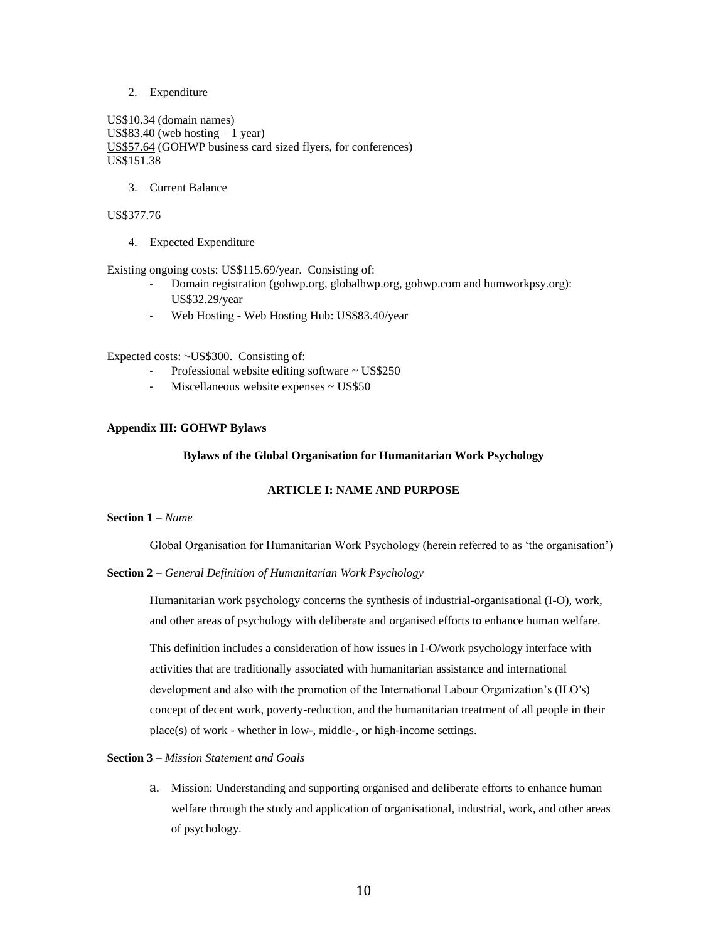2. Expenditure

US\$10.34 (domain names) US\$83.40 (web hosting  $-1$  year) US\$57.64 (GOHWP business card sized flyers, for conferences) US\$151.38

3. Current Balance

# US\$377.76

4. Expected Expenditure

Existing ongoing costs: US\$115.69/year. Consisting of:

- Domain registration (gohwp.org, globalhwp.org, gohwp.com and humworkpsy.org): US\$32.29/year
- Web Hosting Web Hosting Hub: US\$83.40/year

Expected costs: ~US\$300. Consisting of:

- Professional website editing software  $\sim$  US\$250
- Miscellaneous website expenses ~ US\$50

## **Appendix III: GOHWP Bylaws**

### **Bylaws of the Global Organisation for Humanitarian Work Psychology**

# **ARTICLE I: NAME AND PURPOSE**

### **Section 1** *– Name*

Global Organisation for Humanitarian Work Psychology (herein referred to as 'the organisation')

**Section 2** – *General Definition of Humanitarian Work Psychology*

Humanitarian work psychology concerns the synthesis of industrial-organisational (I-O), work, and other areas of psychology with deliberate and organised efforts to enhance human welfare.

This definition includes a consideration of how issues in I-O/work psychology interface with activities that are traditionally associated with humanitarian assistance and international development and also with the promotion of the International Labour Organization's (ILO's) concept of decent work, poverty-reduction, and the humanitarian treatment of all people in their place(s) of work - whether in low-, middle-, or high-income settings.

# **Section 3** *– Mission Statement and Goals*

a. Mission: Understanding and supporting organised and deliberate efforts to enhance human welfare through the study and application of organisational, industrial, work, and other areas of psychology.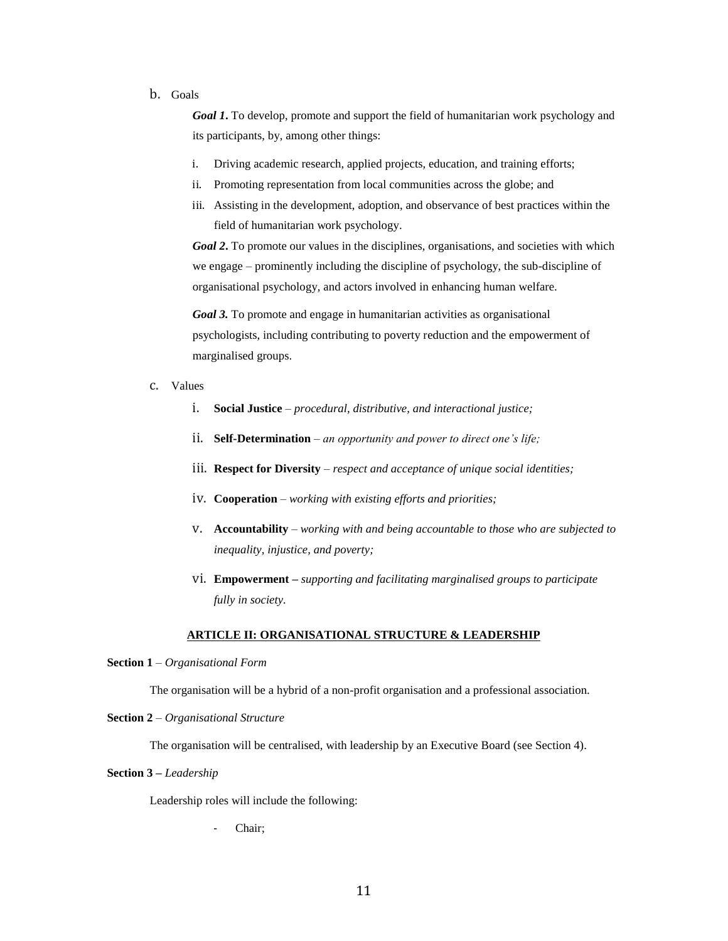## b. Goals

*Goal 1***.** To develop, promote and support the field of humanitarian work psychology and its participants, by, among other things:

- i. Driving academic research, applied projects, education, and training efforts;
- ii. Promoting representation from local communities across the globe; and
- iii. Assisting in the development, adoption, and observance of best practices within the field of humanitarian work psychology.

*Goal 2***.** To promote our values in the disciplines, organisations, and societies with which we engage – prominently including the discipline of psychology, the sub-discipline of organisational psychology, and actors involved in enhancing human welfare.

*Goal 3.* To promote and engage in humanitarian activities as organisational psychologists, including contributing to poverty reduction and the empowerment of marginalised groups.

- c. Values
	- i. **Social Justice** *procedural, distributive, and interactional justice;*
	- ii. **Self-Determination** *an opportunity and power to direct one's life;*
	- iii. **Respect for Diversity** *respect and acceptance of unique social identities;*
	- iv. **Cooperation**  *working with existing efforts and priorities;*
	- v. **Accountability**  *working with and being accountable to those who are subjected to inequality, injustice, and poverty;*
	- vi. **Empowerment –** *supporting and facilitating marginalised groups to participate fully in society.*

## **ARTICLE II: ORGANISATIONAL STRUCTURE & LEADERSHIP**

## **Section 1** *– Organisational Form*

The organisation will be a hybrid of a non-profit organisation and a professional association.

### **Section 2** *– Organisational Structure*

The organisation will be centralised, with leadership by an Executive Board (see Section 4).

## **Section 3** *– Leadership*

Leadership roles will include the following:

Chair;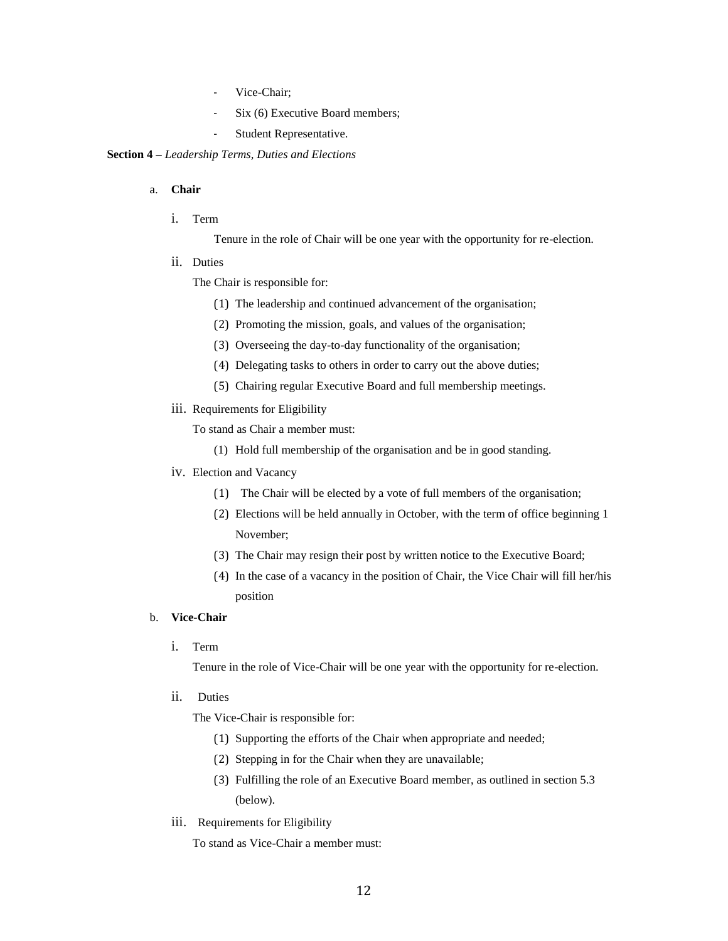- Vice-Chair;
- Six (6) Executive Board members;
- Student Representative.

### **Section 4 –** *Leadership Terms, Duties and Elections*

## a. **Chair**

i. Term

Tenure in the role of Chair will be one year with the opportunity for re-election.

ii. Duties

The Chair is responsible for:

- (1) The leadership and continued advancement of the organisation;
- (2) Promoting the mission, goals, and values of the organisation;
- (3) Overseeing the day-to-day functionality of the organisation;
- (4) Delegating tasks to others in order to carry out the above duties;
- (5) Chairing regular Executive Board and full membership meetings.
- iii. Requirements for Eligibility
	- To stand as Chair a member must:
		- (1) Hold full membership of the organisation and be in good standing.
- iv. Election and Vacancy
	- (1) The Chair will be elected by a vote of full members of the organisation;
	- (2) Elections will be held annually in October, with the term of office beginning 1 November;
	- (3) The Chair may resign their post by written notice to the Executive Board;
	- (4) In the case of a vacancy in the position of Chair, the Vice Chair will fill her/his position

### b. **Vice-Chair**

i. Term

Tenure in the role of Vice-Chair will be one year with the opportunity for re-election.

ii. Duties

The Vice-Chair is responsible for:

- (1) Supporting the efforts of the Chair when appropriate and needed;
- (2) Stepping in for the Chair when they are unavailable;
- (3) Fulfilling the role of an Executive Board member, as outlined in section 5.3 (below).
- iii. Requirements for Eligibility

To stand as Vice-Chair a member must: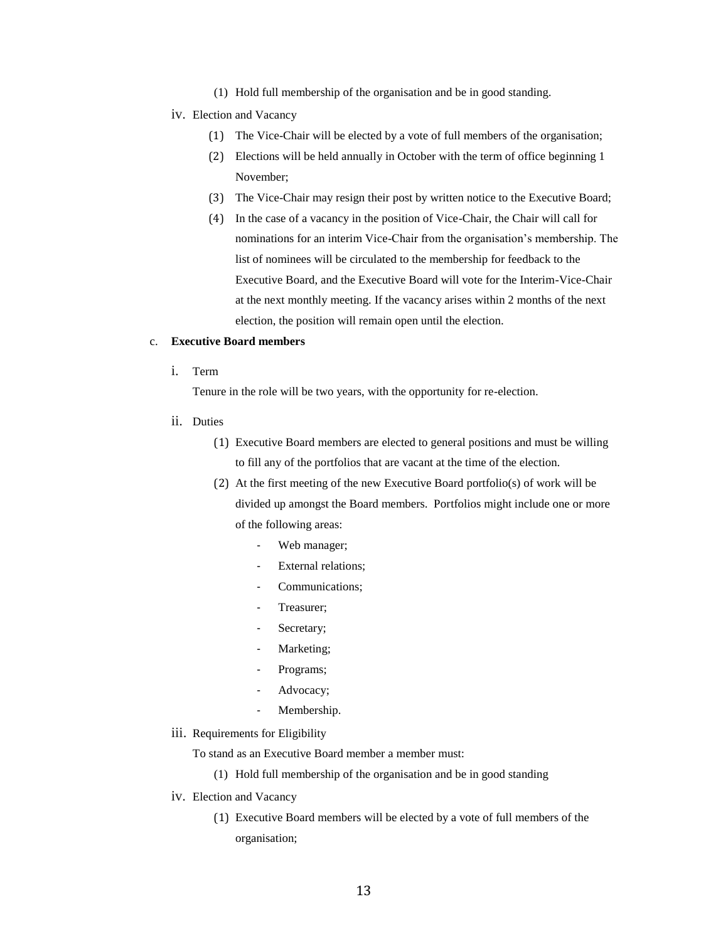(1) Hold full membership of the organisation and be in good standing.

### iv. Election and Vacancy

- (1) The Vice-Chair will be elected by a vote of full members of the organisation;
- (2) Elections will be held annually in October with the term of office beginning 1 November;
- (3) The Vice-Chair may resign their post by written notice to the Executive Board;
- (4) In the case of a vacancy in the position of Vice-Chair, the Chair will call for nominations for an interim Vice-Chair from the organisation's membership. The list of nominees will be circulated to the membership for feedback to the Executive Board, and the Executive Board will vote for the Interim-Vice-Chair at the next monthly meeting. If the vacancy arises within 2 months of the next election, the position will remain open until the election.

## c. **Executive Board members**

i. Term

Tenure in the role will be two years, with the opportunity for re-election.

- ii. Duties
	- (1) Executive Board members are elected to general positions and must be willing to fill any of the portfolios that are vacant at the time of the election.
	- (2) At the first meeting of the new Executive Board portfolio(s) of work will be divided up amongst the Board members. Portfolios might include one or more of the following areas:
		- Web manager;
		- External relations;
		- Communications;
		- Treasurer;
		- Secretary;
		- Marketing;
		- Programs;
		- Advocacy;
		- Membership.
- iii. Requirements for Eligibility

To stand as an Executive Board member a member must:

- (1) Hold full membership of the organisation and be in good standing
- iv. Election and Vacancy
	- (1) Executive Board members will be elected by a vote of full members of the organisation;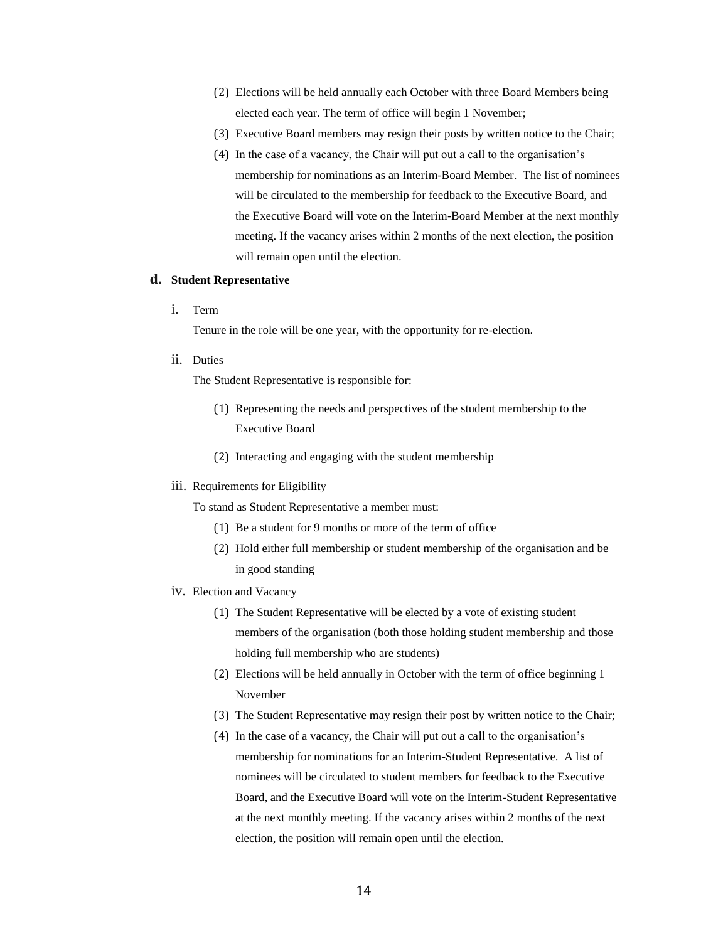- (2) Elections will be held annually each October with three Board Members being elected each year. The term of office will begin 1 November;
- (3) Executive Board members may resign their posts by written notice to the Chair;
- (4) In the case of a vacancy, the Chair will put out a call to the organisation's membership for nominations as an Interim-Board Member. The list of nominees will be circulated to the membership for feedback to the Executive Board, and the Executive Board will vote on the Interim-Board Member at the next monthly meeting. If the vacancy arises within 2 months of the next election, the position will remain open until the election.

## **d. Student Representative**

i. Term

Tenure in the role will be one year, with the opportunity for re-election.

ii. Duties

The Student Representative is responsible for:

- (1) Representing the needs and perspectives of the student membership to the Executive Board
- (2) Interacting and engaging with the student membership

### iii. Requirements for Eligibility

To stand as Student Representative a member must:

- (1) Be a student for 9 months or more of the term of office
- (2) Hold either full membership or student membership of the organisation and be in good standing
- iv. Election and Vacancy
	- (1) The Student Representative will be elected by a vote of existing student members of the organisation (both those holding student membership and those holding full membership who are students)
	- (2) Elections will be held annually in October with the term of office beginning 1 November
	- (3) The Student Representative may resign their post by written notice to the Chair;
	- (4) In the case of a vacancy, the Chair will put out a call to the organisation's membership for nominations for an Interim-Student Representative. A list of nominees will be circulated to student members for feedback to the Executive Board, and the Executive Board will vote on the Interim-Student Representative at the next monthly meeting. If the vacancy arises within 2 months of the next election, the position will remain open until the election.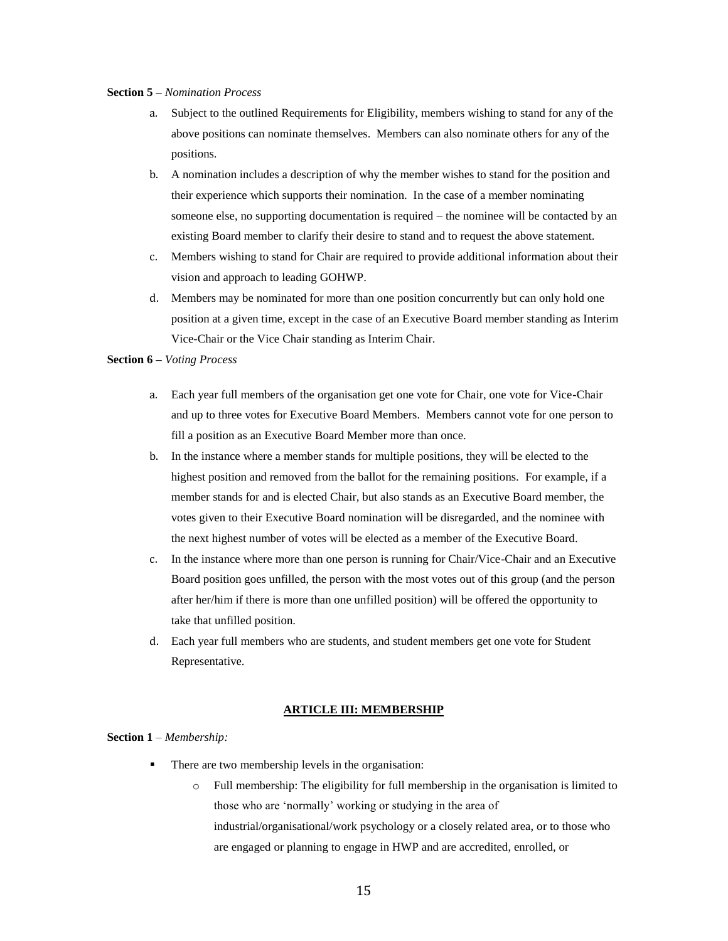## **Section 5 –** *Nomination Process*

- a. Subject to the outlined Requirements for Eligibility, members wishing to stand for any of the above positions can nominate themselves. Members can also nominate others for any of the positions.
- b. A nomination includes a description of why the member wishes to stand for the position and their experience which supports their nomination. In the case of a member nominating someone else, no supporting documentation is required – the nominee will be contacted by an existing Board member to clarify their desire to stand and to request the above statement.
- c. Members wishing to stand for Chair are required to provide additional information about their vision and approach to leading GOHWP.
- d. Members may be nominated for more than one position concurrently but can only hold one position at a given time, except in the case of an Executive Board member standing as Interim Vice-Chair or the Vice Chair standing as Interim Chair.

### **Section 6 –** *Voting Process*

- a. Each year full members of the organisation get one vote for Chair, one vote for Vice-Chair and up to three votes for Executive Board Members. Members cannot vote for one person to fill a position as an Executive Board Member more than once.
- b. In the instance where a member stands for multiple positions, they will be elected to the highest position and removed from the ballot for the remaining positions. For example, if a member stands for and is elected Chair, but also stands as an Executive Board member, the votes given to their Executive Board nomination will be disregarded, and the nominee with the next highest number of votes will be elected as a member of the Executive Board.
- c. In the instance where more than one person is running for Chair/Vice-Chair and an Executive Board position goes unfilled, the person with the most votes out of this group (and the person after her/him if there is more than one unfilled position) will be offered the opportunity to take that unfilled position.
- d. Each year full members who are students, and student members get one vote for Student Representative.

### **ARTICLE III: MEMBERSHIP**

## **Section 1** *– Membership:*

- There are two membership levels in the organisation:
	- o Full membership: The eligibility for full membership in the organisation is limited to those who are 'normally' working or studying in the area of industrial/organisational/work psychology or a closely related area, or to those who are engaged or planning to engage in HWP and are accredited, enrolled, or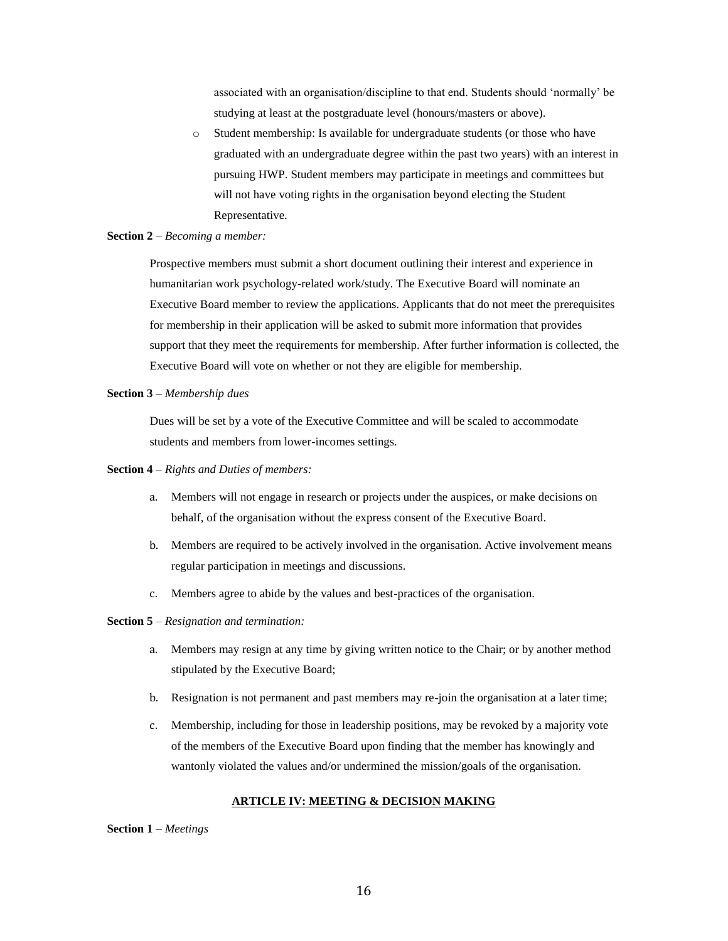associated with an organisation/discipline to that end. Students should 'normally' be studying at least at the postgraduate level (honours/masters or above).

o Student membership: Is available for undergraduate students (or those who have graduated with an undergraduate degree within the past two years) with an interest in pursuing HWP. Student members may participate in meetings and committees but will not have voting rights in the organisation beyond electing the Student Representative.

## **Section 2** *– Becoming a member:*

Prospective members must submit a short document outlining their interest and experience in humanitarian work psychology-related work/study. The Executive Board will nominate an Executive Board member to review the applications. Applicants that do not meet the prerequisites for membership in their application will be asked to submit more information that provides support that they meet the requirements for membership. After further information is collected, the Executive Board will vote on whether or not they are eligible for membership.

### **Section 3** *– Membership dues*

Dues will be set by a vote of the Executive Committee and will be scaled to accommodate students and members from lower-incomes settings.

## **Section 4** *– Rights and Duties of members:*

- a. Members will not engage in research or projects under the auspices, or make decisions on behalf, of the organisation without the express consent of the Executive Board.
- b. Members are required to be actively involved in the organisation. Active involvement means regular participation in meetings and discussions.
- c. Members agree to abide by the values and best-practices of the organisation.

## **Section 5** *– Resignation and termination:*

- a. Members may resign at any time by giving written notice to the Chair; or by another method stipulated by the Executive Board;
- b. Resignation is not permanent and past members may re-join the organisation at a later time;
- c. Membership, including for those in leadership positions, may be revoked by a majority vote of the members of the Executive Board upon finding that the member has knowingly and wantonly violated the values and/or undermined the mission/goals of the organisation.

### **ARTICLE IV: MEETING & DECISION MAKING**

**Section 1** *– Meetings*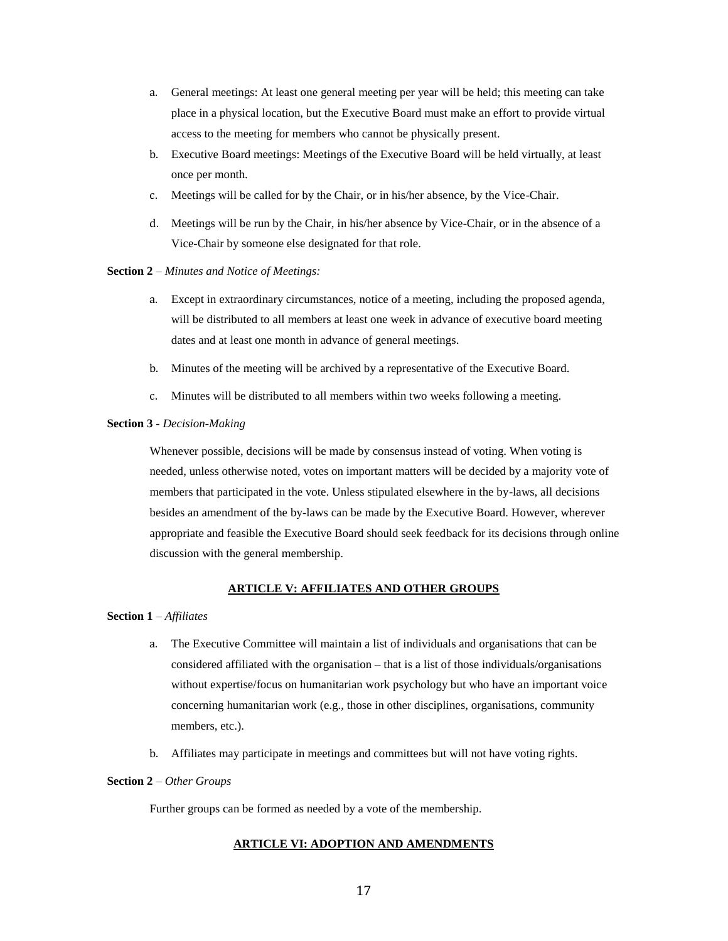- a. General meetings: At least one general meeting per year will be held; this meeting can take place in a physical location, but the Executive Board must make an effort to provide virtual access to the meeting for members who cannot be physically present.
- b. Executive Board meetings: Meetings of the Executive Board will be held virtually, at least once per month.
- c. Meetings will be called for by the Chair, or in his/her absence, by the Vice-Chair.
- d. Meetings will be run by the Chair, in his/her absence by Vice-Chair, or in the absence of a Vice-Chair by someone else designated for that role.

### **Section 2** *– Minutes and Notice of Meetings:*

- a. Except in extraordinary circumstances, notice of a meeting, including the proposed agenda, will be distributed to all members at least one week in advance of executive board meeting dates and at least one month in advance of general meetings.
- b. Minutes of the meeting will be archived by a representative of the Executive Board.
- c. Minutes will be distributed to all members within two weeks following a meeting.

# **Section 3** *- Decision-Making*

Whenever possible, decisions will be made by consensus instead of voting. When voting is needed, unless otherwise noted, votes on important matters will be decided by a majority vote of members that participated in the vote. Unless stipulated elsewhere in the by-laws, all decisions besides an amendment of the by-laws can be made by the Executive Board. However, wherever appropriate and feasible the Executive Board should seek feedback for its decisions through online discussion with the general membership.

## **ARTICLE V: AFFILIATES AND OTHER GROUPS**

### **Section 1** *– Affiliates*

- a. The Executive Committee will maintain a list of individuals and organisations that can be considered affiliated with the organisation – that is a list of those individuals/organisations without expertise/focus on humanitarian work psychology but who have an important voice concerning humanitarian work (e.g., those in other disciplines, organisations, community members, etc.).
- b. Affiliates may participate in meetings and committees but will not have voting rights.

### **Section 2** *– Other Groups*

Further groups can be formed as needed by a vote of the membership.

# **ARTICLE VI: ADOPTION AND AMENDMENTS**